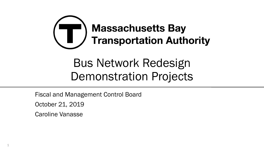

Fiscal and Management Control Board

October 21, 2019

Caroline Vanasse

1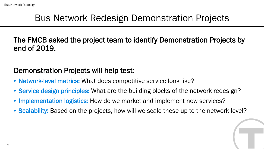#### Bus Network Redesign Demonstration Projects

The FMCB asked the project team to identify Demonstration Projects by end of 2019.

#### Demonstration Projects will help test:

- Network-level metrics: What does competitive service look like?
- Service design principles: What are the building blocks of the network redesign?
- Implementation logistics: How do we market and implement new services?
- Scalability: Based on the projects, how will we scale these up to the network level?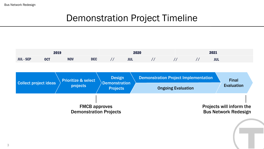# Demonstration Project Timeline

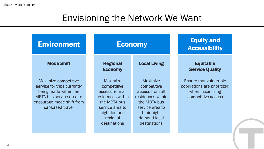## Envisioning the Network We Want

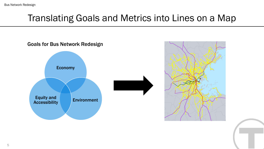# Translating Goals and Metrics into Lines on a Map

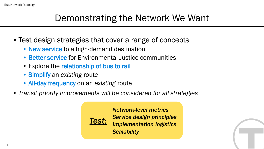## Demonstrating the Network We Want

- Test design strategies that cover a range of concepts
	- New service to a high-demand destination
	- Better service for Environmental Justice communities
	- Explore the relationship of bus to rail
	- Simplify an *existing* route
	- All-day frequency on an *existing* route
- *Transit priority improvements will be considered for all strategies*



*Network-level metrics Service design principles Implementation logistics Scalability*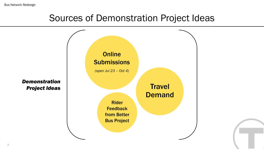Bus Network Redesign

## Sources of Demonstration Project Ideas

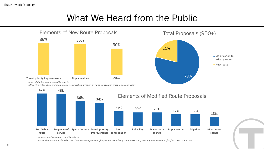## What We Heard from the Public



*Note: Multiple elements could be selected.* 

*Other elements not included in this chart were comfort; transfers; network simplicity; communications; ADA improvements; and first/last mile connections*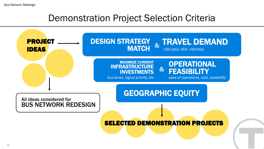#### Demonstration Project Selection Criteria